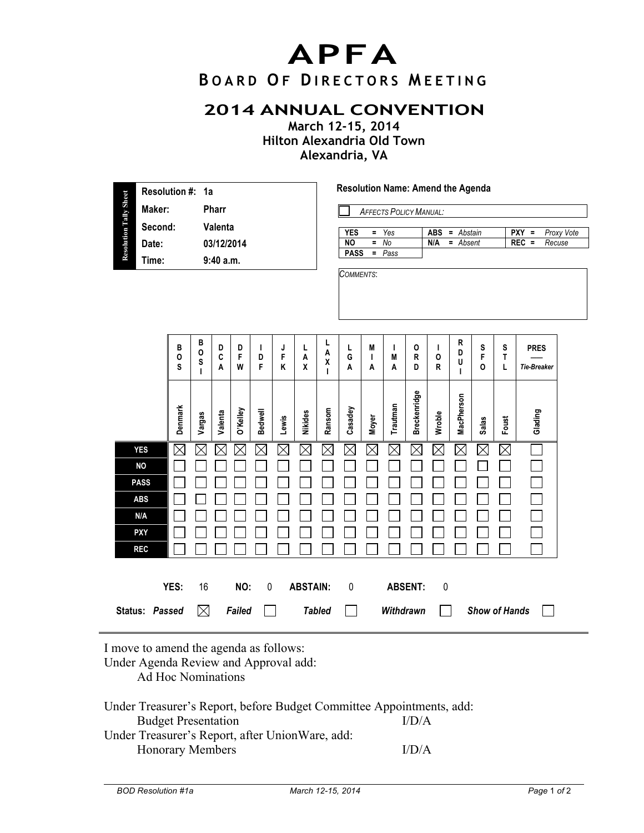## **APFA**

## **B OARD O F D IRECTORS M EETING**

## **2014 ANNUAL CONVENTION**

**March 12-15, 2014 Hilton Alexandria Old Town Alexandria, VA**

| <b>Resolution Tally Sheet</b> | Resolution #: 1a<br>Maker:<br>Second:<br>Date:<br>Time:                                 |                        |                             | Pharr<br>Valenta<br>03/12/2014<br>9:40 a.m. |               |                |             |                 |                  | Resolution Name: Amend the Agenda<br><b>AFFECTS POLICY MANUAL:</b><br><b>YES</b><br>Yes<br>$PXY =$<br>$\equiv$<br><b>ABS</b><br>$=$ Abstain<br>Proxy Vote<br><b>NO</b><br>$\equiv$<br>No<br>$REC =$<br>N/A<br>$=$ Absent<br>Recuse<br><b>PASS</b><br>щ<br>Pass<br>COMMENTS: |              |             |                        |             |                             |                      |             |                            |  |
|-------------------------------|-----------------------------------------------------------------------------------------|------------------------|-----------------------------|---------------------------------------------|---------------|----------------|-------------|-----------------|------------------|-----------------------------------------------------------------------------------------------------------------------------------------------------------------------------------------------------------------------------------------------------------------------------|--------------|-------------|------------------------|-------------|-----------------------------|----------------------|-------------|----------------------------|--|
|                               |                                                                                         | В<br>$\mathsf{o}$<br>S | В<br>0<br>S<br>$\mathbf{I}$ | D<br>C<br>A                                 | D<br>F<br>W   | I.<br>D<br>F   | J<br>F<br>Κ | L<br>A<br>X     | L<br>A<br>χ<br>т | L<br>G<br>A                                                                                                                                                                                                                                                                 | M<br>ı<br>A  | L<br>M<br>A | $\mathsf{o}$<br>R<br>D | T<br>0<br>R | R<br>D<br>U<br>$\mathbf{I}$ | S<br>F<br>0          | S<br>T<br>L | <b>PRES</b><br>Tie-Breaker |  |
|                               |                                                                                         | Denmark                | Vargas                      | Valenta                                     | O'Kelley      | <b>Bedwell</b> | Lewis       | Nikides         | Ransom           | Casadey                                                                                                                                                                                                                                                                     | <b>Moyer</b> | Trautman    | <b>Breckenridge</b>    | Wroble      | MacPherson                  | <b>Salas</b>         | Foust       | Glading                    |  |
|                               | <b>YES</b><br><b>NO</b><br><b>PASS</b><br><b>ABS</b><br>N/A<br><b>PXY</b><br><b>REC</b> | $\boxtimes$            | $\times$                    | $\boxtimes$                                 | $\times$      | $\boxtimes$    | $\boxtimes$ | $\boxtimes$     | $\boxtimes$      | $\boxtimes$                                                                                                                                                                                                                                                                 | $\boxtimes$  | $\boxtimes$ | $\boxtimes$            | $\boxtimes$ | $\boxtimes$                 | $\boxtimes$          | $\boxtimes$ |                            |  |
|                               | Status: Passed                                                                          | YES:                   | 16<br>$\boxtimes$           |                                             | NO:<br>Failed | $\pmb{0}$      |             | <b>ABSTAIN:</b> | <b>Tabled</b>    | $\mathbf{0}$                                                                                                                                                                                                                                                                |              | Withdrawn   | <b>ABSENT:</b>         | $\mathbf 0$ |                             | <b>Show of Hands</b> |             |                            |  |

I move to amend the agenda as follows:

Under Agenda Review and Approval add:

Ad Hoc Nominations

| Under Treasurer's Report, before Budget Committee Appointments, add: |       |
|----------------------------------------------------------------------|-------|
| <b>Budget Presentation</b>                                           | I/D/A |
| Under Treasurer's Report, after Union Ware, add:                     |       |
| <b>Honorary Members</b>                                              | I/D/A |